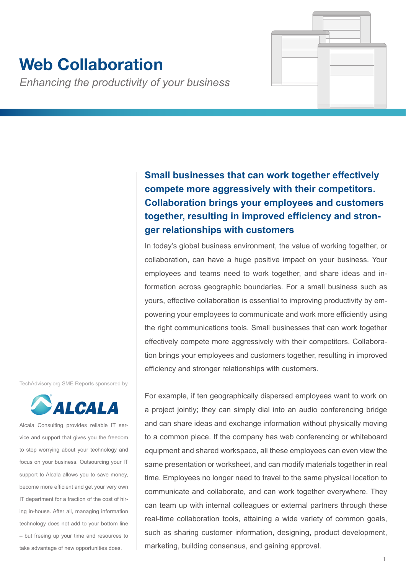# **Web Collaboration**

*Enhancing the productivity of your business*

**Small businesses that can work together effectively compete more aggressively with their competitors. Collaboration brings your employees and customers together, resulting in improved efficiency and stronger relationships with customers**

In today's global business environment, the value of working together, or collaboration, can have a huge positive impact on your business. Your employees and teams need to work together, and share ideas and information across geographic boundaries. For a small business such as yours, effective collaboration is essential to improving productivity by empowering your employees to communicate and work more efficiently using the right communications tools. Small businesses that can work together effectively compete more aggressively with their competitors. Collaboration brings your employees and customers together, resulting in improved efficiency and stronger relationships with customers.

TechAdvisory.org SME Reports sponsored by



Alcala Consulting provides reliable IT service and support that gives you the freedom to stop worrying about your technology and focus on your business. Outsourcing your IT support to Alcala allows you to save money, become more efficient and get your very own IT department for a fraction of the cost of hiring in-house. After all, managing information technology does not add to your bottom line – but freeing up your time and resources to take advantage of new opportunities does.

For example, if ten geographically dispersed employees want to work on a project jointly; they can simply dial into an audio conferencing bridge and can share ideas and exchange information without physically moving to a common place. If the company has web conferencing or whiteboard equipment and shared workspace, all these employees can even view the same presentation or worksheet, and can modify materials together in real time. Employees no longer need to travel to the same physical location to communicate and collaborate, and can work together everywhere. They can team up with internal colleagues or external partners through these real-time collaboration tools, attaining a wide variety of common goals, such as sharing customer information, designing, product development, marketing, building consensus, and gaining approval.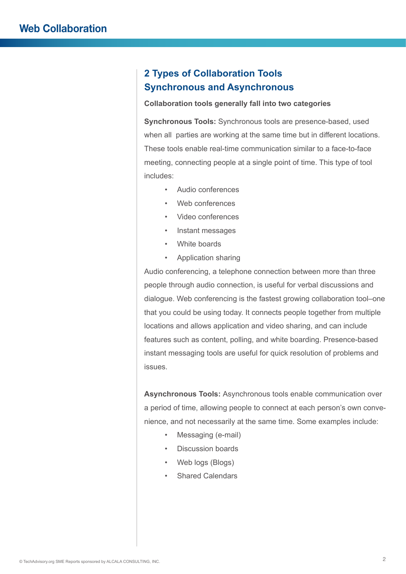# **2 Types of Collaboration Tools Synchronous and Asynchronous**

#### **Collaboration tools generally fall into two categories**

**Synchronous Tools:** Synchronous tools are presence-based, used when all parties are working at the same time but in different locations. These tools enable real-time communication similar to a face-to-face meeting, connecting people at a single point of time. This type of tool includes:

- Audio conferences
- Web conferences
- Video conferences
- Instant messages
- White boards
- Application sharing

Audio conferencing, a telephone connection between more than three people through audio connection, is useful for verbal discussions and dialogue. Web conferencing is the fastest growing collaboration tool–one that you could be using today. It connects people together from multiple locations and allows application and video sharing, and can include features such as content, polling, and white boarding. Presence-based instant messaging tools are useful for quick resolution of problems and issues.

**Asynchronous Tools:** Asynchronous tools enable communication over a period of time, allowing people to connect at each person's own convenience, and not necessarily at the same time. Some examples include:

- Messaging (e-mail)
- Discussion boards
- Web logs (Blogs)
- Shared Calendars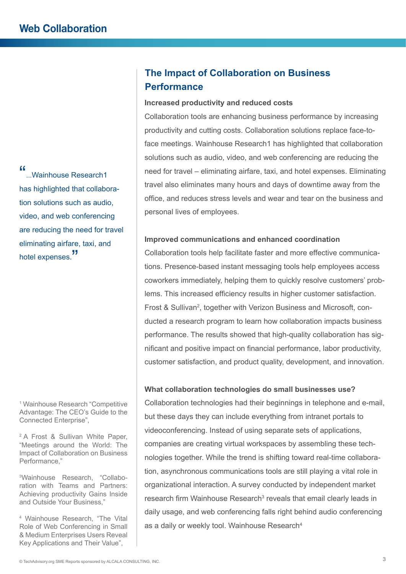"...<br>Wainhouse Research1... has highlighted that collaboration solutions such as audio, video, and web conferencing are reducing the need for travel eliminating airfare, taxi, and hotel expenses.<sup>"</sup>

1 Wainhouse Research "Competitive Advantage: The CEO's Guide to the Connected Enterprise",

2 A Frost & Sullivan White Paper, "Meetings around the World: The Impact of Collaboration on Business Performance,"

3 Wainhouse Research, "Collaboration with Teams and Partners: Achieving productivity Gains Inside and Outside Your Business,"

4 Wainhouse Research, "The Vital Role of Web Conferencing in Small & Medium Enterprises Users Reveal Key Applications and Their Value",

# **The Impact of Collaboration on Business Performance**

#### **Increased productivity and reduced costs**

Collaboration tools are enhancing business performance by increasing productivity and cutting costs. Collaboration solutions replace face-toface meetings. Wainhouse Research1 has highlighted that collaboration solutions such as audio, video, and web conferencing are reducing the need for travel – eliminating airfare, taxi, and hotel expenses. Eliminating travel also eliminates many hours and days of downtime away from the office, and reduces stress levels and wear and tear on the business and personal lives of employees.

#### **Improved communications and enhanced coordination**

Collaboration tools help facilitate faster and more effective communications. Presence-based instant messaging tools help employees access coworkers immediately, helping them to quickly resolve customers' problems. This increased efficiency results in higher customer satisfaction. Frost & Sullivan<sup>2</sup>, together with Verizon Business and Microsoft, conducted a research program to learn how collaboration impacts business performance. The results showed that high-quality collaboration has significant and positive impact on financial performance, labor productivity, customer satisfaction, and product quality, development, and innovation.

#### **What collaboration technologies do small businesses use?**

Collaboration technologies had their beginnings in telephone and e-mail, but these days they can include everything from intranet portals to videoconferencing. Instead of using separate sets of applications, companies are creating virtual workspaces by assembling these technologies together. While the trend is shifting toward real-time collaboration, asynchronous communications tools are still playing a vital role in organizational interaction. A survey conducted by independent market research firm Wainhouse Research<sup>3</sup> reveals that email clearly leads in daily usage, and web conferencing falls right behind audio conferencing as a daily or weekly tool. Wainhouse Research<sup>4</sup>